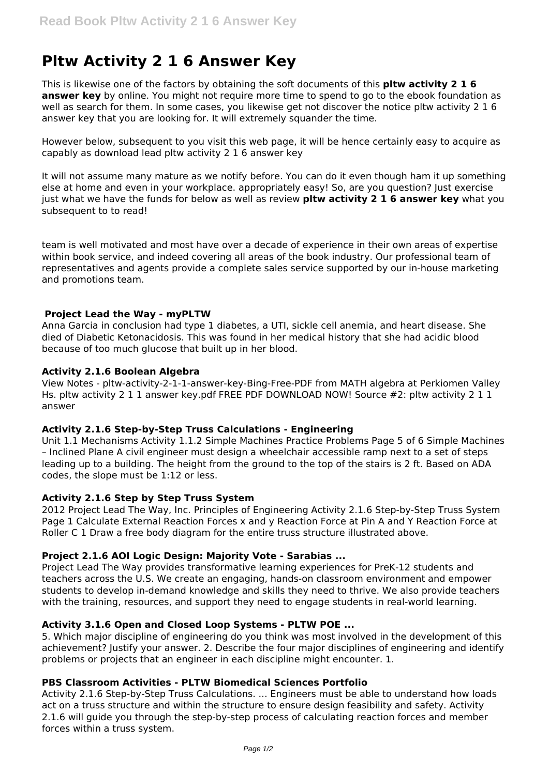# **Pltw Activity 2 1 6 Answer Key**

This is likewise one of the factors by obtaining the soft documents of this **pltw activity 2 1 6 answer key** by online. You might not require more time to spend to go to the ebook foundation as well as search for them. In some cases, you likewise get not discover the notice pltw activity 2 1 6 answer key that you are looking for. It will extremely squander the time.

However below, subsequent to you visit this web page, it will be hence certainly easy to acquire as capably as download lead pltw activity 2 1 6 answer key

It will not assume many mature as we notify before. You can do it even though ham it up something else at home and even in your workplace. appropriately easy! So, are you question? Just exercise just what we have the funds for below as well as review **pltw activity 2 1 6 answer key** what you subsequent to to read!

team is well motivated and most have over a decade of experience in their own areas of expertise within book service, and indeed covering all areas of the book industry. Our professional team of representatives and agents provide a complete sales service supported by our in-house marketing and promotions team.

## **Project Lead the Way - myPLTW**

Anna Garcia in conclusion had type 1 diabetes, a UTI, sickle cell anemia, and heart disease. She died of Diabetic Ketonacidosis. This was found in her medical history that she had acidic blood because of too much glucose that built up in her blood.

## **Activity 2.1.6 Boolean Algebra**

View Notes - pltw-activity-2-1-1-answer-key-Bing-Free-PDF from MATH algebra at Perkiomen Valley Hs. pltw activity 2 1 1 answer key.pdf FREE PDF DOWNLOAD NOW! Source #2: pltw activity 2 1 1 answer

#### **Activity 2.1.6 Step-by-Step Truss Calculations - Engineering**

Unit 1.1 Mechanisms Activity 1.1.2 Simple Machines Practice Problems Page 5 of 6 Simple Machines – Inclined Plane A civil engineer must design a wheelchair accessible ramp next to a set of steps leading up to a building. The height from the ground to the top of the stairs is 2 ft. Based on ADA codes, the slope must be 1:12 or less.

# **Activity 2.1.6 Step by Step Truss System**

2012 Project Lead The Way, Inc. Principles of Engineering Activity 2.1.6 Step-by-Step Truss System Page 1 Calculate External Reaction Forces x and y Reaction Force at Pin A and Y Reaction Force at Roller C 1 Draw a free body diagram for the entire truss structure illustrated above.

# **Project 2.1.6 AOI Logic Design: Majority Vote - Sarabias ...**

Project Lead The Way provides transformative learning experiences for PreK-12 students and teachers across the U.S. We create an engaging, hands-on classroom environment and empower students to develop in-demand knowledge and skills they need to thrive. We also provide teachers with the training, resources, and support they need to engage students in real-world learning.

#### **Activity 3.1.6 Open and Closed Loop Systems - PLTW POE ...**

5. Which major discipline of engineering do you think was most involved in the development of this achievement? Justify your answer. 2. Describe the four major disciplines of engineering and identify problems or projects that an engineer in each discipline might encounter. 1.

#### **PBS Classroom Activities - PLTW Biomedical Sciences Portfolio**

Activity 2.1.6 Step-by-Step Truss Calculations. ... Engineers must be able to understand how loads act on a truss structure and within the structure to ensure design feasibility and safety. Activity 2.1.6 will guide you through the step-by-step process of calculating reaction forces and member forces within a truss system.